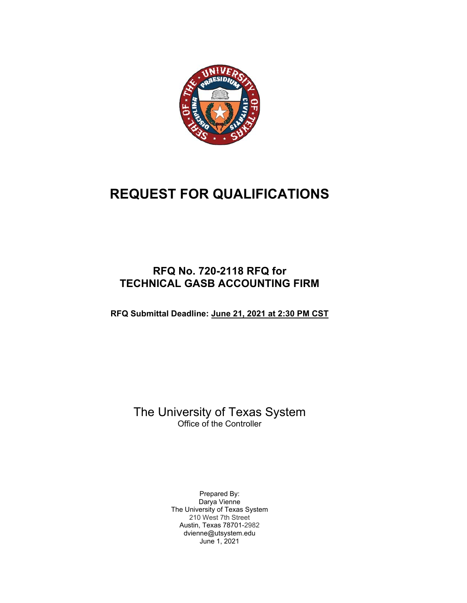

# **REQUEST FOR QUALIFICATIONS**

# **RFQ No. 720-2118 RFQ for TECHNICAL GASB ACCOUNTING FIRM**

**RFQ Submittal Deadline: June 21, 2021 at 2:30 PM CST**

The University of Texas System Office of the Controller

> Prepared By: Darya Vienne The University of Texas System 210 West 7th Street Austin, Texas 78701-2982 dvienne@utsystem.edu June 1, 2021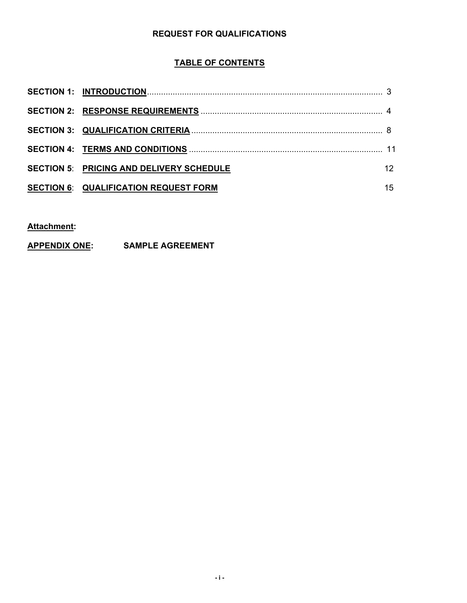#### **REQUEST FOR QUALIFICATIONS**

# **TABLE OF CONTENTS**

| <b>SECTION 5: PRICING AND DELIVERY SCHEDULE</b> |    |
|-------------------------------------------------|----|
| <b>SECTION 6: QUALIFICATION REQUEST FORM</b>    | 15 |

# **Attachment:**

# **APPENDIX ONE: SAMPLE AGREEMENT**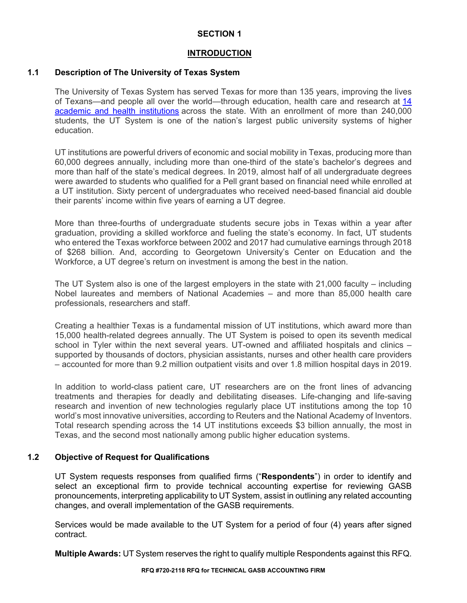#### **INTRODUCTION**

#### **1.1 Description of The University of Texas System**

The University of Texas System has served Texas for more than 135 years, improving the lives of Texans—and people all over the world—through education, health care and research at 14 academic and health institutions across the state. With an enrollment of more than 240,000 students, the UT System is one of the nation's largest public university systems of higher education.

UT institutions are powerful drivers of economic and social mobility in Texas, producing more than 60,000 degrees annually, including more than one-third of the state's bachelor's degrees and more than half of the state's medical degrees. In 2019, almost half of all undergraduate degrees were awarded to students who qualified for a Pell grant based on financial need while enrolled at a UT institution. Sixty percent of undergraduates who received need-based financial aid double their parents' income within five years of earning a UT degree.

More than three-fourths of undergraduate students secure jobs in Texas within a year after graduation, providing a skilled workforce and fueling the state's economy. In fact, UT students who entered the Texas workforce between 2002 and 2017 had cumulative earnings through 2018 of \$268 billion. And, according to Georgetown University's Center on Education and the Workforce, a UT degree's return on investment is among the best in the nation.

The UT System also is one of the largest employers in the state with 21,000 faculty – including Nobel laureates and members of National Academies – and more than 85,000 health care professionals, researchers and staff.

Creating a healthier Texas is a fundamental mission of UT institutions, which award more than 15,000 health-related degrees annually. The UT System is poised to open its seventh medical school in Tyler within the next several years. UT-owned and affiliated hospitals and clinics – supported by thousands of doctors, physician assistants, nurses and other health care providers – accounted for more than 9.2 million outpatient visits and over 1.8 million hospital days in 2019.

In addition to world-class patient care, UT researchers are on the front lines of advancing treatments and therapies for deadly and debilitating diseases. Life-changing and life-saving research and invention of new technologies regularly place UT institutions among the top 10 world's most innovative universities, according to Reuters and the National Academy of Inventors. Total research spending across the 14 UT institutions exceeds \$3 billion annually, the most in Texas, and the second most nationally among public higher education systems.

#### **1.2 Objective of Request for Qualifications**

UT System requests responses from qualified firms ("**Respondents**") in order to identify and select an exceptional firm to provide technical accounting expertise for reviewing GASB pronouncements, interpreting applicability to UT System, assist in outlining any related accounting changes, and overall implementation of the GASB requirements.

Services would be made available to the UT System for a period of four (4) years after signed contract.

**Multiple Awards:** UT System reserves the right to qualify multiple Respondents against this RFQ.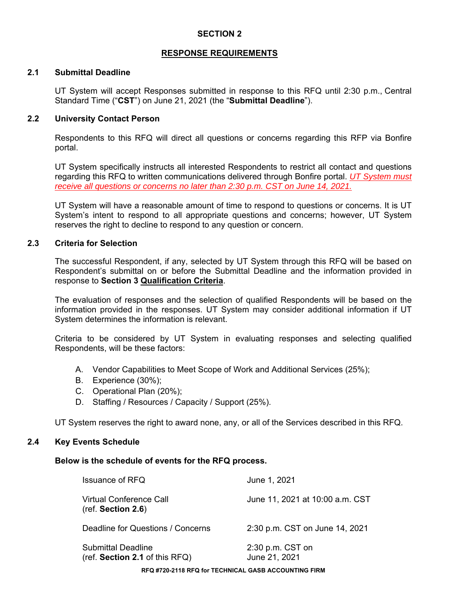#### **RESPONSE REQUIREMENTS**

#### **2.1 Submittal Deadline**

UT System will accept Responses submitted in response to this RFQ until 2:30 p.m., Central Standard Time ("**CST**") on June 21, 2021 (the "**Submittal Deadline**").

#### **2.2 University Contact Person**

Respondents to this RFQ will direct all questions or concerns regarding this RFP via Bonfire portal.

UT System specifically instructs all interested Respondents to restrict all contact and questions regarding this RFQ to written communications delivered through Bonfire portal. *UT System must receive all questions or concerns no later than 2:30 p.m. CST on June 14, 2021.*

UT System will have a reasonable amount of time to respond to questions or concerns. It is UT System's intent to respond to all appropriate questions and concerns; however, UT System reserves the right to decline to respond to any question or concern.

#### **2.3 Criteria for Selection**

The successful Respondent, if any, selected by UT System through this RFQ will be based on Respondent's submittal on or before the Submittal Deadline and the information provided in response to **Section 3 Qualification Criteria**.

The evaluation of responses and the selection of qualified Respondents will be based on the information provided in the responses. UT System may consider additional information if UT System determines the information is relevant.

Criteria to be considered by UT System in evaluating responses and selecting qualified Respondents, will be these factors:

- A. Vendor Capabilities to Meet Scope of Work and Additional Services (25%);
- B. Experience (30%);
- C. Operational Plan (20%);
- D. Staffing / Resources / Capacity / Support (25%).

UT System reserves the right to award none, any, or all of the Services described in this RFQ.

#### **2.4 Key Events Schedule**

#### **Below is the schedule of events for the RFQ process.**

| Issuance of RFQ                                               | June 1, 2021                      |
|---------------------------------------------------------------|-----------------------------------|
| Virtual Conference Call<br>(ref. Section 2.6)                 | June 11, 2021 at 10:00 a.m. CST   |
| Deadline for Questions / Concerns                             | 2:30 p.m. CST on June 14, 2021    |
| Submittal Deadline<br>$(\text{ref. Section 2.1 of this RFQ))$ | 2:30 p.m. CST on<br>June 21, 2021 |
|                                                               |                                   |

**RFQ #720-2118 RFQ for TECHNICAL GASB ACCOUNTING FIRM**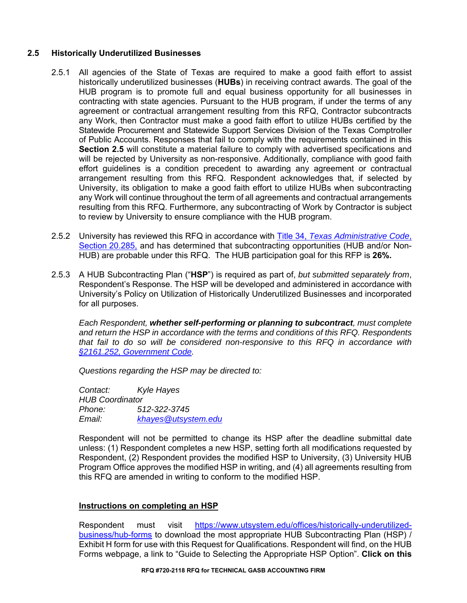#### **2.5 Historically Underutilized Businesses**

- 2.5.1 All agencies of the State of Texas are required to make a good faith effort to assist historically underutilized businesses (**HUBs**) in receiving contract awards. The goal of the HUB program is to promote full and equal business opportunity for all businesses in contracting with state agencies. Pursuant to the HUB program, if under the terms of any agreement or contractual arrangement resulting from this RFQ, Contractor subcontracts any Work, then Contractor must make a good faith effort to utilize HUBs certified by the Statewide Procurement and Statewide Support Services Division of the Texas Comptroller of Public Accounts. Responses that fail to comply with the requirements contained in this **Section 2.5** will constitute a material failure to comply with advertised specifications and will be rejected by University as non-responsive. Additionally, compliance with good faith effort guidelines is a condition precedent to awarding any agreement or contractual arrangement resulting from this RFQ. Respondent acknowledges that, if selected by University, its obligation to make a good faith effort to utilize HUBs when subcontracting any Work will continue throughout the term of all agreements and contractual arrangements resulting from this RFQ. Furthermore, any subcontracting of Work by Contractor is subject to review by University to ensure compliance with the HUB program.
- 2.5.2 University has reviewed this RFQ in accordance with Title 34, *Texas Administrative Code*, Section 20.285, and has determined that subcontracting opportunities (HUB and/or Non-HUB) are probable under this RFQ. The HUB participation goal for this RFP is **26%.**
- 2.5.3 A HUB Subcontracting Plan ("**HSP**") is required as part of, *but submitted separately from*, Respondent's Response. The HSP will be developed and administered in accordance with University's Policy on Utilization of Historically Underutilized Businesses and incorporated for all purposes.

*Each Respondent, whether self-performing or planning to subcontract, must complete and return the HSP in accordance with the terms and conditions of this RFQ. Respondents that fail to do so will be considered non-responsive to this RFQ in accordance with §2161.252, Government Code.* 

*Questions regarding the HSP may be directed to:* 

*Contact: Kyle Hayes HUB Coordinator Phone: 512-322-3745 Email: khayes@utsystem.edu* 

Respondent will not be permitted to change its HSP after the deadline submittal date unless: (1) Respondent completes a new HSP, setting forth all modifications requested by Respondent, (2) Respondent provides the modified HSP to University, (3) University HUB Program Office approves the modified HSP in writing, and (4) all agreements resulting from this RFQ are amended in writing to conform to the modified HSP.

#### **Instructions on completing an HSP**

Respondent must visit https://www.utsystem.edu/offices/historically-underutilizedbusiness/hub-forms to download the most appropriate HUB Subcontracting Plan (HSP) / Exhibit H form for use with this Request for Qualifications. Respondent will find, on the HUB Forms webpage, a link to "Guide to Selecting the Appropriate HSP Option". **Click on this**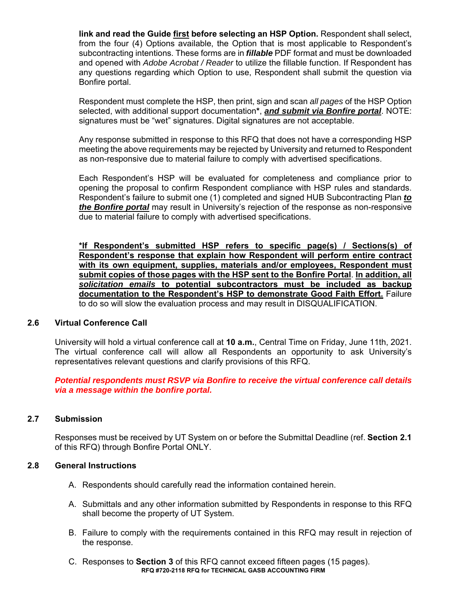**link and read the Guide first before selecting an HSP Option.** Respondent shall select, from the four (4) Options available, the Option that is most applicable to Respondent's subcontracting intentions. These forms are in *fillable* PDF format and must be downloaded and opened with *Adobe Acrobat / Reader* to utilize the fillable function. If Respondent has any questions regarding which Option to use, Respondent shall submit the question via Bonfire portal.

Respondent must complete the HSP, then print, sign and scan *all pages* of the HSP Option selected, with additional support documentation**\***, *and submit via Bonfire portal*. NOTE: signatures must be "wet" signatures. Digital signatures are not acceptable.

Any response submitted in response to this RFQ that does not have a corresponding HSP meeting the above requirements may be rejected by University and returned to Respondent as non-responsive due to material failure to comply with advertised specifications.

Each Respondent's HSP will be evaluated for completeness and compliance prior to opening the proposal to confirm Respondent compliance with HSP rules and standards. Respondent's failure to submit one (1) completed and signed HUB Subcontracting Plan *to the Bonfire portal* may result in University's rejection of the response as non-responsive due to material failure to comply with advertised specifications.

**\*If Respondent's submitted HSP refers to specific page(s) / Sections(s) of Respondent's response that explain how Respondent will perform entire contract with its own equipment, supplies, materials and/or employees, Respondent must submit copies of those pages with the HSP sent to the Bonfire Portal**. **In addition, all**  *solicitation emails* **to potential subcontractors must be included as backup documentation to the Respondent's HSP to demonstrate Good Faith Effort.** Failure to do so will slow the evaluation process and may result in DISQUALIFICATION.

#### **2.6 Virtual Conference Call**

University will hold a virtual conference call at **10 a.m.**, Central Time on Friday, June 11th, 2021. The virtual conference call will allow all Respondents an opportunity to ask University's representatives relevant questions and clarify provisions of this RFQ.

*Potential respondents must RSVP via Bonfire to receive the virtual conference call details via a message within the bonfire portal.* 

#### **2.7 Submission**

Responses must be received by UT System on or before the Submittal Deadline (ref. **Section 2.1**  of this RFQ) through Bonfire Portal ONLY.

#### **2.8 General Instructions**

- A. Respondents should carefully read the information contained herein.
- A. Submittals and any other information submitted by Respondents in response to this RFQ shall become the property of UT System.
- B. Failure to comply with the requirements contained in this RFQ may result in rejection of the response.
- **RFQ #720-2118 RFQ for TECHNICAL GASB ACCOUNTING FIRM**  C. Responses to **Section 3** of this RFQ cannot exceed fifteen pages (15 pages).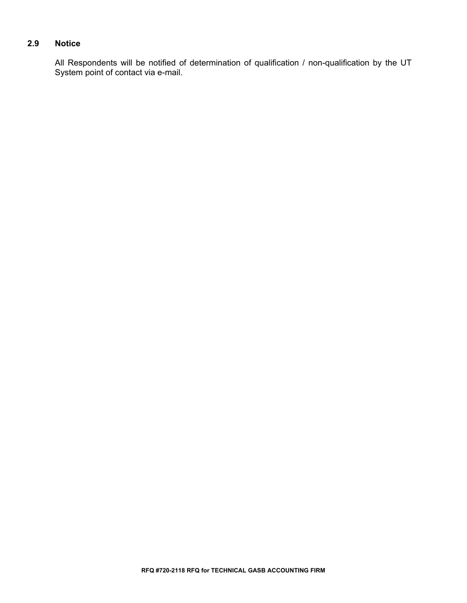# **2.9 Notice**

All Respondents will be notified of determination of qualification / non-qualification by the UT System point of contact via e-mail.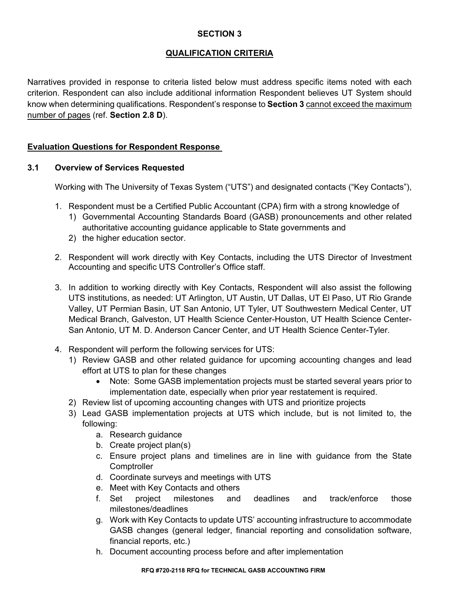#### **QUALIFICATION CRITERIA**

Narratives provided in response to criteria listed below must address specific items noted with each criterion. Respondent can also include additional information Respondent believes UT System should know when determining qualifications. Respondent's response to **Section 3** cannot exceed the maximum number of pages (ref. **Section 2.8 D**).

#### **Evaluation Questions for Respondent Response**

#### **3.1 Overview of Services Requested**

Working with The University of Texas System ("UTS") and designated contacts ("Key Contacts"),

- 1. Respondent must be a Certified Public Accountant (CPA) firm with a strong knowledge of
	- 1) Governmental Accounting Standards Board (GASB) pronouncements and other related authoritative accounting guidance applicable to State governments and
	- 2) the higher education sector.
- 2. Respondent will work directly with Key Contacts, including the UTS Director of Investment Accounting and specific UTS Controller's Office staff.
- 3. In addition to working directly with Key Contacts, Respondent will also assist the following UTS institutions, as needed: UT Arlington, UT Austin, UT Dallas, UT El Paso, UT Rio Grande Valley, UT Permian Basin, UT San Antonio, UT Tyler, UT Southwestern Medical Center, UT Medical Branch, Galveston, UT Health Science Center-Houston, UT Health Science Center-San Antonio, UT M. D. Anderson Cancer Center, and UT Health Science Center-Tyler.
- 4. Respondent will perform the following services for UTS:
	- 1) Review GASB and other related guidance for upcoming accounting changes and lead effort at UTS to plan for these changes
		- Note: Some GASB implementation projects must be started several years prior to implementation date, especially when prior year restatement is required.
	- 2) Review list of upcoming accounting changes with UTS and prioritize projects
	- 3) Lead GASB implementation projects at UTS which include, but is not limited to, the following:
		- a. Research guidance
		- b. Create project plan(s)
		- c. Ensure project plans and timelines are in line with guidance from the State **Comptroller**
		- d. Coordinate surveys and meetings with UTS
		- e. Meet with Key Contacts and others
		- f. Set project milestones and deadlines and track/enforce those milestones/deadlines
		- g. Work with Key Contacts to update UTS' accounting infrastructure to accommodate GASB changes (general ledger, financial reporting and consolidation software, financial reports, etc.)
		- h. Document accounting process before and after implementation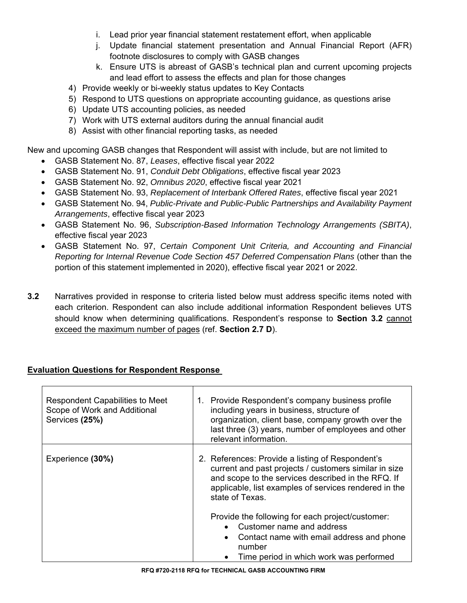- i. Lead prior year financial statement restatement effort, when applicable
- j. Update financial statement presentation and Annual Financial Report (AFR) footnote disclosures to comply with GASB changes
- k. Ensure UTS is abreast of GASB's technical plan and current upcoming projects and lead effort to assess the effects and plan for those changes
- 4) Provide weekly or bi-weekly status updates to Key Contacts
- 5) Respond to UTS questions on appropriate accounting guidance, as questions arise
- 6) Update UTS accounting policies, as needed
- 7) Work with UTS external auditors during the annual financial audit
- 8) Assist with other financial reporting tasks, as needed

New and upcoming GASB changes that Respondent will assist with include, but are not limited to

- GASB Statement No. 87, *Leases*, effective fiscal year 2022
- GASB Statement No. 91, *Conduit Debt Obligations*, effective fiscal year 2023
- GASB Statement No. 92, *Omnibus 2020*, effective fiscal year 2021
- GASB Statement No. 93, *Replacement of Interbank Offered Rates*, effective fiscal year 2021
- GASB Statement No. 94, *Public-Private and Public-Public Partnerships and Availability Payment Arrangements*, effective fiscal year 2023
- GASB Statement No. 96, *Subscription-Based Information Technology Arrangements (SBITA)*, effective fiscal year 2023
- GASB Statement No. 97, *Certain Component Unit Criteria, and Accounting and Financial Reporting for Internal Revenue Code Section 457 Deferred Compensation Plans* (other than the portion of this statement implemented in 2020), effective fiscal year 2021 or 2022.
- **3.2** Narratives provided in response to criteria listed below must address specific items noted with each criterion. Respondent can also include additional information Respondent believes UTS should know when determining qualifications. Respondent's response to **Section 3.2** cannot exceed the maximum number of pages (ref. **Section 2.7 D**).

## **Evaluation Questions for Respondent Response**

| <b>Respondent Capabilities to Meet</b><br>Scope of Work and Additional<br>Services (25%) | Provide Respondent's company business profile<br>1.<br>including years in business, structure of<br>organization, client base, company growth over the<br>last three (3) years, number of employees and other<br>relevant information.      |
|------------------------------------------------------------------------------------------|---------------------------------------------------------------------------------------------------------------------------------------------------------------------------------------------------------------------------------------------|
| Experience (30%)                                                                         | 2. References: Provide a listing of Respondent's<br>current and past projects / customers similar in size<br>and scope to the services described in the RFQ. If<br>applicable, list examples of services rendered in the<br>state of Texas. |
|                                                                                          | Provide the following for each project/customer:<br>Customer name and address<br>Contact name with email address and phone<br>$\bullet$<br>number<br>Time period in which work was performed                                                |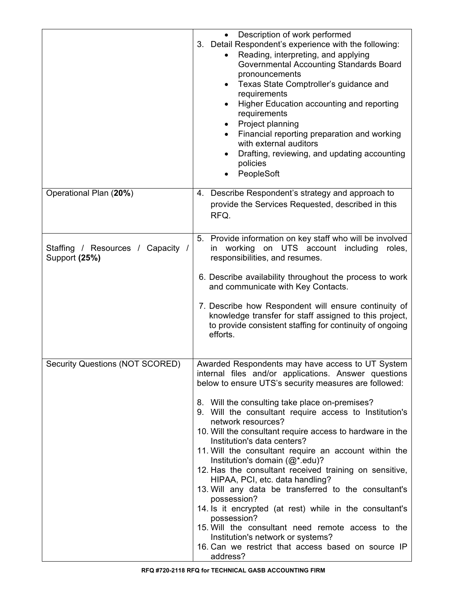|                                                    | Description of work performed<br>3. Detail Respondent's experience with the following:<br>Reading, interpreting, and applying<br>Governmental Accounting Standards Board<br>pronouncements<br>Texas State Comptroller's guidance and<br>٠<br>requirements<br>Higher Education accounting and reporting<br>$\bullet$<br>requirements<br>Project planning<br>٠<br>Financial reporting preparation and working<br>with external auditors<br>Drafting, reviewing, and updating accounting<br>$\bullet$<br>policies<br>PeopleSoft                                                                                                                                                                                                                                                                                                                                                                                    |
|----------------------------------------------------|-----------------------------------------------------------------------------------------------------------------------------------------------------------------------------------------------------------------------------------------------------------------------------------------------------------------------------------------------------------------------------------------------------------------------------------------------------------------------------------------------------------------------------------------------------------------------------------------------------------------------------------------------------------------------------------------------------------------------------------------------------------------------------------------------------------------------------------------------------------------------------------------------------------------|
| Operational Plan (20%)                             | 4. Describe Respondent's strategy and approach to<br>provide the Services Requested, described in this<br>RFQ.                                                                                                                                                                                                                                                                                                                                                                                                                                                                                                                                                                                                                                                                                                                                                                                                  |
| Staffing / Resources / Capacity /<br>Support (25%) | 5. Provide information on key staff who will be involved<br>working<br>on UTS account including<br>in<br>roles.<br>responsibilities, and resumes.<br>6. Describe availability throughout the process to work<br>and communicate with Key Contacts.<br>7. Describe how Respondent will ensure continuity of<br>knowledge transfer for staff assigned to this project,<br>to provide consistent staffing for continuity of ongoing<br>efforts.                                                                                                                                                                                                                                                                                                                                                                                                                                                                    |
| <b>Security Questions (NOT SCORED)</b>             | Awarded Respondents may have access to UT System<br>internal files and/or applications. Answer questions<br>below to ensure UTS's security measures are followed:<br>8. Will the consulting take place on-premises?<br>9. Will the consultant require access to Institution's<br>network resources?<br>10. Will the consultant require access to hardware in the<br>Institution's data centers?<br>11. Will the consultant require an account within the<br>Institution's domain $(Q^*.\text{edu})$ ?<br>12. Has the consultant received training on sensitive,<br>HIPAA, PCI, etc. data handling?<br>13. Will any data be transferred to the consultant's<br>possession?<br>14. Is it encrypted (at rest) while in the consultant's<br>possession?<br>15. Will the consultant need remote access to the<br>Institution's network or systems?<br>16. Can we restrict that access based on source IP<br>address? |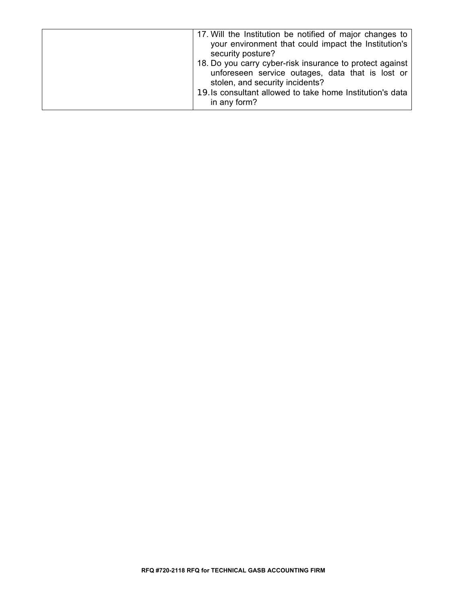| 17. Will the Institution be notified of major changes to<br>your environment that could impact the Institution's<br>security posture?                                                                                        |
|------------------------------------------------------------------------------------------------------------------------------------------------------------------------------------------------------------------------------|
| 18. Do you carry cyber-risk insurance to protect against<br>unforeseen service outages, data that is lost or<br>stolen, and security incidents?<br>19. Is consultant allowed to take home Institution's data<br>in any form? |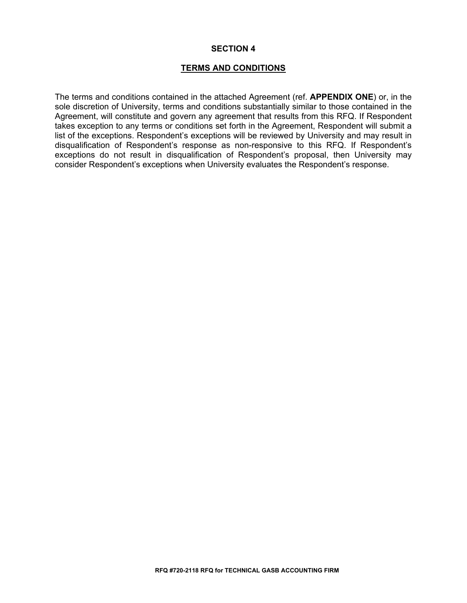#### **TERMS AND CONDITIONS**

The terms and conditions contained in the attached Agreement (ref. **APPENDIX ONE**) or, in the sole discretion of University, terms and conditions substantially similar to those contained in the Agreement, will constitute and govern any agreement that results from this RFQ. If Respondent takes exception to any terms or conditions set forth in the Agreement, Respondent will submit a list of the exceptions. Respondent's exceptions will be reviewed by University and may result in disqualification of Respondent's response as non-responsive to this RFQ. If Respondent's exceptions do not result in disqualification of Respondent's proposal, then University may consider Respondent's exceptions when University evaluates the Respondent's response.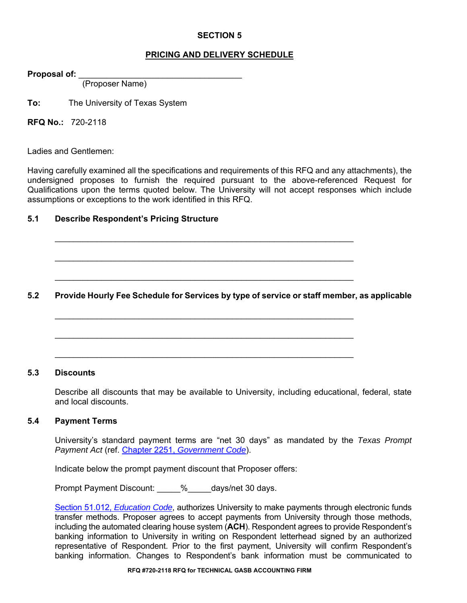#### **PRICING AND DELIVERY SCHEDULE**

**Proposal of:** \_\_\_\_\_\_\_\_\_\_\_\_\_\_\_\_\_\_\_\_\_\_\_\_\_\_\_\_\_\_\_\_\_\_\_

(Proposer Name)

**To:** The University of Texas System

**RFQ No.:** 720-2118

Ladies and Gentlemen:

Having carefully examined all the specifications and requirements of this RFQ and any attachments), the undersigned proposes to furnish the required pursuant to the above-referenced Request for Qualifications upon the terms quoted below. The University will not accept responses which include assumptions or exceptions to the work identified in this RFQ.

#### **5.1 Describe Respondent's Pricing Structure**

**5.2 Provide Hourly Fee Schedule for Services by type of service or staff member, as applicable** 

 $\mathcal{L}_\text{max} = \frac{1}{2} \sum_{i=1}^{n} \frac{1}{2} \sum_{i=1}^{n} \frac{1}{2} \sum_{i=1}^{n} \frac{1}{2} \sum_{i=1}^{n} \frac{1}{2} \sum_{i=1}^{n} \frac{1}{2} \sum_{i=1}^{n} \frac{1}{2} \sum_{i=1}^{n} \frac{1}{2} \sum_{i=1}^{n} \frac{1}{2} \sum_{i=1}^{n} \frac{1}{2} \sum_{i=1}^{n} \frac{1}{2} \sum_{i=1}^{n} \frac{1}{2} \sum_{i=1}^{n} \frac{1$ 

 $\mathcal{L}_\text{max} = \frac{1}{2} \sum_{i=1}^{n} \frac{1}{2} \sum_{i=1}^{n} \frac{1}{2} \sum_{i=1}^{n} \frac{1}{2} \sum_{i=1}^{n} \frac{1}{2} \sum_{i=1}^{n} \frac{1}{2} \sum_{i=1}^{n} \frac{1}{2} \sum_{i=1}^{n} \frac{1}{2} \sum_{i=1}^{n} \frac{1}{2} \sum_{i=1}^{n} \frac{1}{2} \sum_{i=1}^{n} \frac{1}{2} \sum_{i=1}^{n} \frac{1}{2} \sum_{i=1}^{n} \frac{1$ 

 $\mathcal{L}_\text{max} = \frac{1}{2} \sum_{i=1}^{n} \frac{1}{2} \sum_{i=1}^{n} \frac{1}{2} \sum_{i=1}^{n} \frac{1}{2} \sum_{i=1}^{n} \frac{1}{2} \sum_{i=1}^{n} \frac{1}{2} \sum_{i=1}^{n} \frac{1}{2} \sum_{i=1}^{n} \frac{1}{2} \sum_{i=1}^{n} \frac{1}{2} \sum_{i=1}^{n} \frac{1}{2} \sum_{i=1}^{n} \frac{1}{2} \sum_{i=1}^{n} \frac{1}{2} \sum_{i=1}^{n} \frac{1$ 

 $\mathcal{L}_\text{max} = \frac{1}{2} \sum_{i=1}^{n} \frac{1}{2} \sum_{i=1}^{n} \frac{1}{2} \sum_{i=1}^{n} \frac{1}{2} \sum_{i=1}^{n} \frac{1}{2} \sum_{i=1}^{n} \frac{1}{2} \sum_{i=1}^{n} \frac{1}{2} \sum_{i=1}^{n} \frac{1}{2} \sum_{i=1}^{n} \frac{1}{2} \sum_{i=1}^{n} \frac{1}{2} \sum_{i=1}^{n} \frac{1}{2} \sum_{i=1}^{n} \frac{1}{2} \sum_{i=1}^{n} \frac{1$ 

#### **5.3 Discounts**

Describe all discounts that may be available to University, including educational, federal, state and local discounts.

#### **5.4 Payment Terms**

University's standard payment terms are "net 30 days" as mandated by the *Texas Prompt Payment Act* (ref. Chapter 2251, *Government Code*).

Indicate below the prompt payment discount that Proposer offers:

Prompt Payment Discount:  $\frac{1}{2}$  % days/net 30 days.

Section 51.012, *Education Code*, authorizes University to make payments through electronic funds transfer methods. Proposer agrees to accept payments from University through those methods, including the automated clearing house system (**ACH**). Respondent agrees to provide Respondent's banking information to University in writing on Respondent letterhead signed by an authorized representative of Respondent. Prior to the first payment, University will confirm Respondent's banking information. Changes to Respondent's bank information must be communicated to

**RFQ #720-2118 RFQ for TECHNICAL GASB ACCOUNTING FIRM**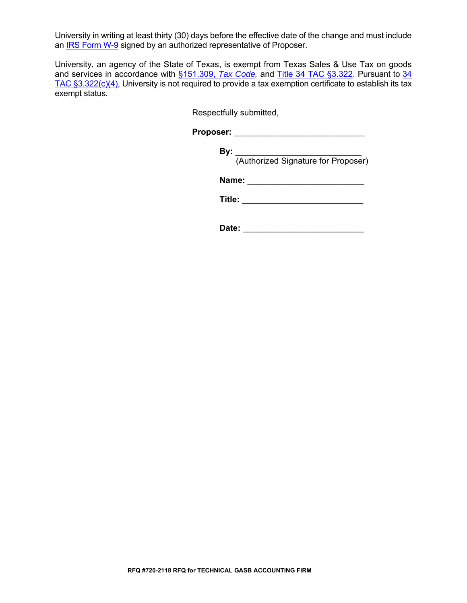University in writing at least thirty (30) days before the effective date of the change and must include an **IRS Form W-9** signed by an authorized representative of Proposer.

University, an agency of the State of Texas, is exempt from Texas Sales & Use Tax on goods and services in accordance with §151.309, *Tax Code,* and Title 34 TAC §3.322. Pursuant to 34 TAC §3.322(c)(4), University is not required to provide a tax exemption certificate to establish its tax exempt status.

Respectfully submitted,

**Proposer:** \_\_\_\_\_\_\_\_\_\_\_\_\_\_\_\_\_\_\_\_\_\_\_\_\_\_\_\_

**By:** \_\_\_\_\_\_\_\_\_\_\_\_\_\_\_\_\_\_\_\_\_\_\_\_\_\_\_ (Authorized Signature for Proposer)

**Name:**  $\blacksquare$ 

**Title:** \_\_\_\_\_\_\_\_\_\_\_\_\_\_\_\_\_\_\_\_\_\_\_\_\_\_

 **Date:** \_\_\_\_\_\_\_\_\_\_\_\_\_\_\_\_\_\_\_\_\_\_\_\_\_\_